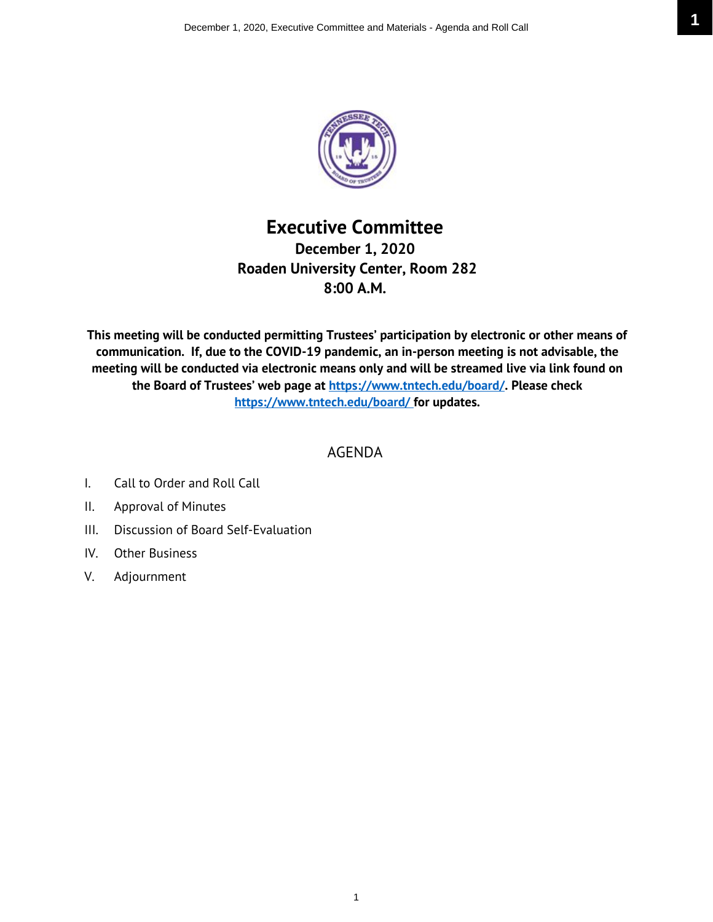

# **Executive Committee**

**December 1, 2020 Roaden University Center, Room 282 8:00 A.M.**

**This meeting will be conducted permitting Trustees' participation by electronic or other means of communication. If, due to the COVID-19 pandemic, an in-person meeting is not advisable, the meeting will be conducted via electronic means only and will be streamed live via link found on the Board of Trustees' web page at [https://www.tntech.edu/board/.](https://www.tntech.edu/board/) Please check <https://www.tntech.edu/board/> for updates.**

## AGENDA

- I. Call to Order and Roll Call
- II. Approval of Minutes
- III. Discussion of Board Self-Evaluation
- IV. Other Business
- V. Adjournment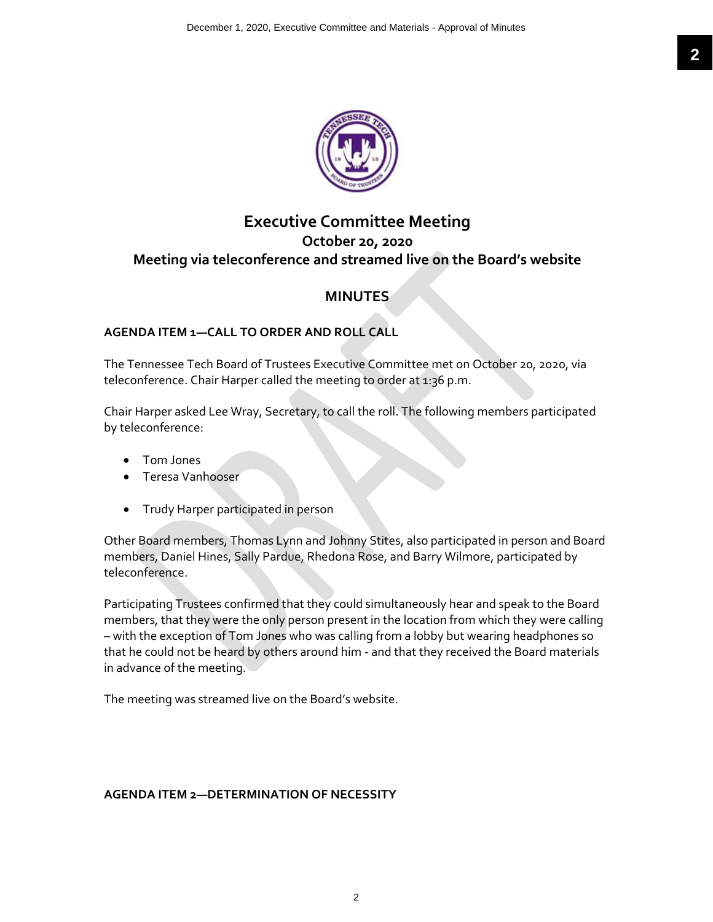

# **Executive Committee Meeting October 20, 2020 Meeting via teleconference and streamed live on the Board's website**

## **MINUTES**

#### **AGENDA ITEM 1—CALL TO ORDER AND ROLL CALL**

The Tennessee Tech Board of Trustees Executive Committee met on October 20, 2020, via teleconference. Chair Harper called the meeting to order at 1:36 p.m.

Chair Harper asked Lee Wray, Secretary, to call the roll. The following members participated by teleconference:

- Tom Jones
- Teresa Vanhooser
- Trudy Harper participated in person

Other Board members, Thomas Lynn and Johnny Stites, also participated in person and Board members, Daniel Hines, Sally Pardue, Rhedona Rose, and Barry Wilmore, participated by teleconference.

Participating Trustees confirmed that they could simultaneously hear and speak to the Board members, that they were the only person present in the location from which they were calling – with the exception of Tom Jones who was calling from a lobby but wearing headphones so that he could not be heard by others around him - and that they received the Board materials in advance of the meeting.

The meeting was streamed live on the Board's website.

#### **AGENDA ITEM 2—DETERMINATION OF NECESSITY**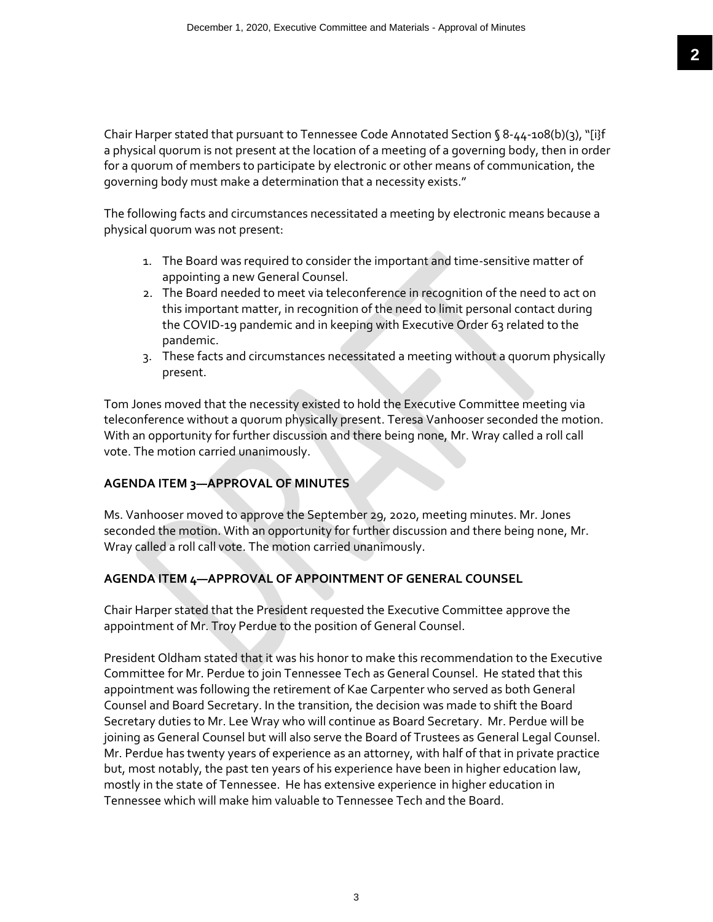Chair Harper stated that pursuant to Tennessee Code Annotated Section § 8-44-108(b)(3), "[i}f a physical quorum is not present at the location of a meeting of a governing body, then in order for a quorum of members to participate by electronic or other means of communication, the governing body must make a determination that a necessity exists."

The following facts and circumstances necessitated a meeting by electronic means because a physical quorum was not present:

- 1. The Board was required to consider the important and time-sensitive matter of appointing a new General Counsel.
- 2. The Board needed to meet via teleconference in recognition of the need to act on this important matter, in recognition of the need to limit personal contact during the COVID-19 pandemic and in keeping with Executive Order 63 related to the pandemic.
- 3. These facts and circumstances necessitated a meeting without a quorum physically present.

Tom Jones moved that the necessity existed to hold the Executive Committee meeting via teleconference without a quorum physically present. Teresa Vanhooser seconded the motion. With an opportunity for further discussion and there being none, Mr. Wray called a roll call vote. The motion carried unanimously.

#### **AGENDA ITEM 3—APPROVAL OF MINUTES**

Ms. Vanhooser moved to approve the September 29, 2020, meeting minutes. Mr. Jones seconded the motion. With an opportunity for further discussion and there being none, Mr. Wray called a roll call vote. The motion carried unanimously.

#### **AGENDA ITEM 4—APPROVAL OF APPOINTMENT OF GENERAL COUNSEL**

Chair Harper stated that the President requested the Executive Committee approve the appointment of Mr. Troy Perdue to the position of General Counsel.

President Oldham stated that it was his honor to make this recommendation to the Executive Committee for Mr. Perdue to join Tennessee Tech as General Counsel. He stated that this appointment was following the retirement of Kae Carpenter who served as both General Counsel and Board Secretary. In the transition, the decision was made to shift the Board Secretary duties to Mr. Lee Wray who will continue as Board Secretary. Mr. Perdue will be joining as General Counsel but will also serve the Board of Trustees as General Legal Counsel. Mr. Perdue has twenty years of experience as an attorney, with half of that in private practice but, most notably, the past ten years of his experience have been in higher education law, mostly in the state of Tennessee. He has extensive experience in higher education in Tennessee which will make him valuable to Tennessee Tech and the Board.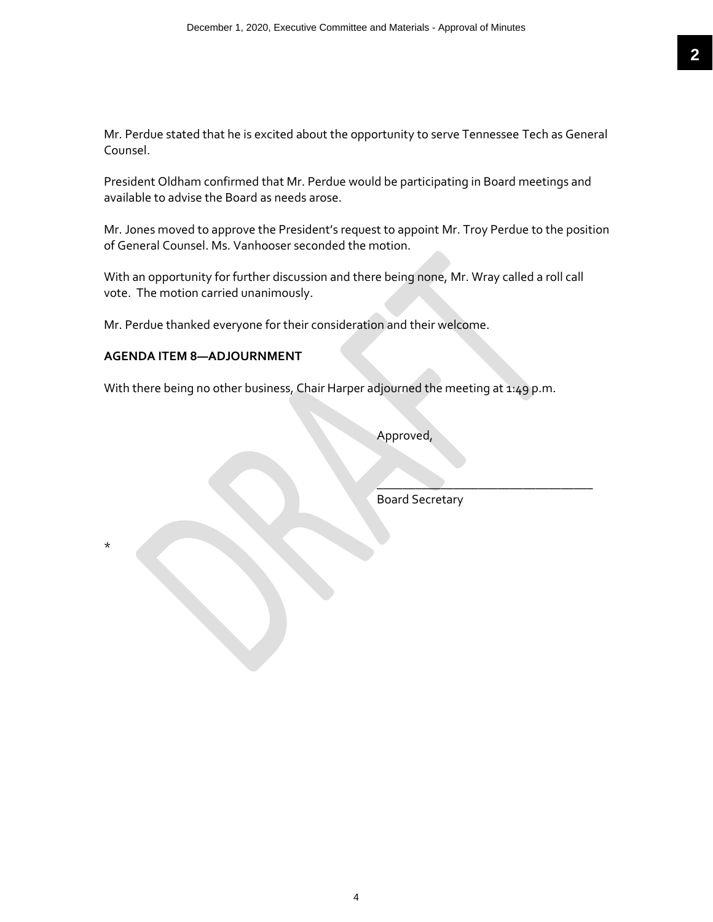Mr. Perdue stated that he is excited about the opportunity to serve Tennessee Tech as General Counsel.

President Oldham confirmed that Mr. Perdue would be participating in Board meetings and available to advise the Board as needs arose.

Mr. Jones moved to approve the President's request to appoint Mr. Troy Perdue to the position of General Counsel. Ms. Vanhooser seconded the motion.

With an opportunity for further discussion and there being none, Mr. Wray called a roll call vote. The motion carried unanimously.

Mr. Perdue thanked everyone for their consideration and their welcome.

#### **AGENDA ITEM 8—ADJOURNMENT**

\*

With there being no other business, Chair Harper adjourned the meeting at 1:49 p.m.

Approved,

Board Secretary

 $\overline{\phantom{a}}$  ,  $\overline{\phantom{a}}$  ,  $\overline{\phantom{a}}$  ,  $\overline{\phantom{a}}$  ,  $\overline{\phantom{a}}$  ,  $\overline{\phantom{a}}$  ,  $\overline{\phantom{a}}$  ,  $\overline{\phantom{a}}$  ,  $\overline{\phantom{a}}$  ,  $\overline{\phantom{a}}$  ,  $\overline{\phantom{a}}$  ,  $\overline{\phantom{a}}$  ,  $\overline{\phantom{a}}$  ,  $\overline{\phantom{a}}$  ,  $\overline{\phantom{a}}$  ,  $\overline{\phantom{a}}$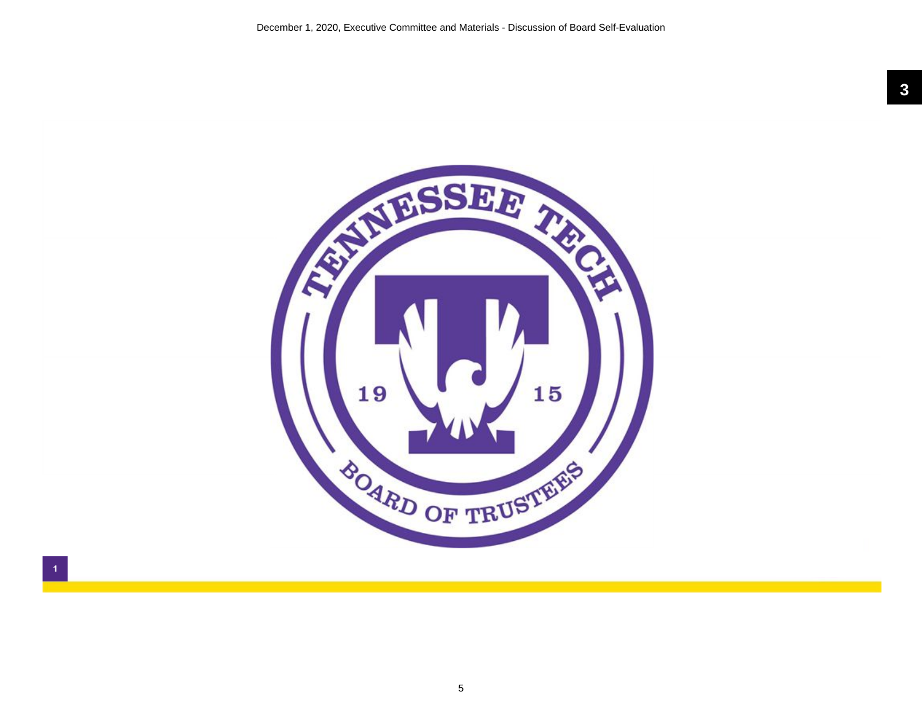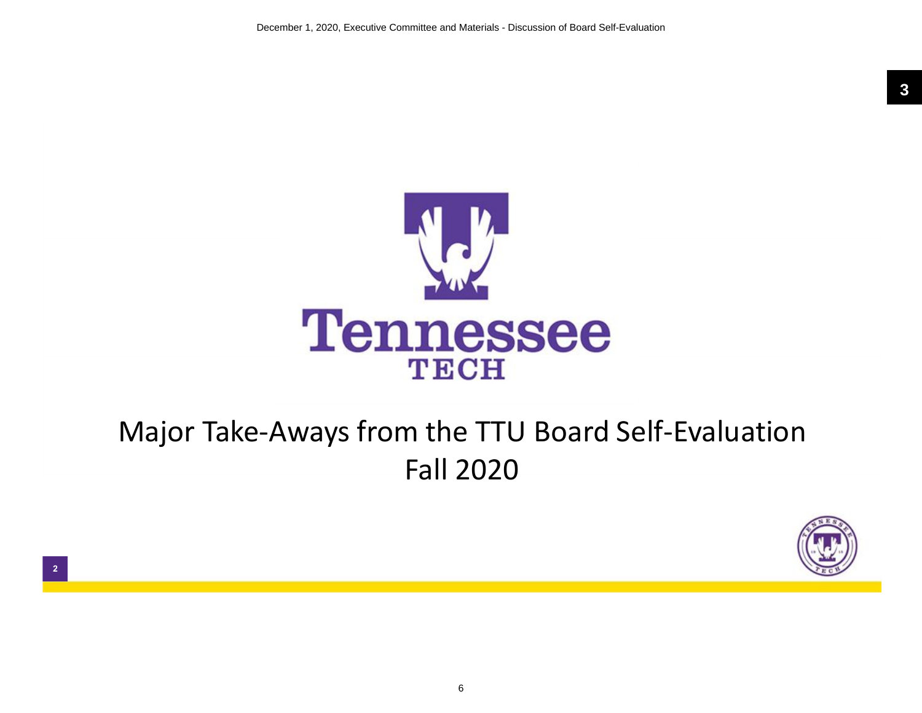

# Major Take-Aways from the TTU Board Self-Evaluation Fall 2020

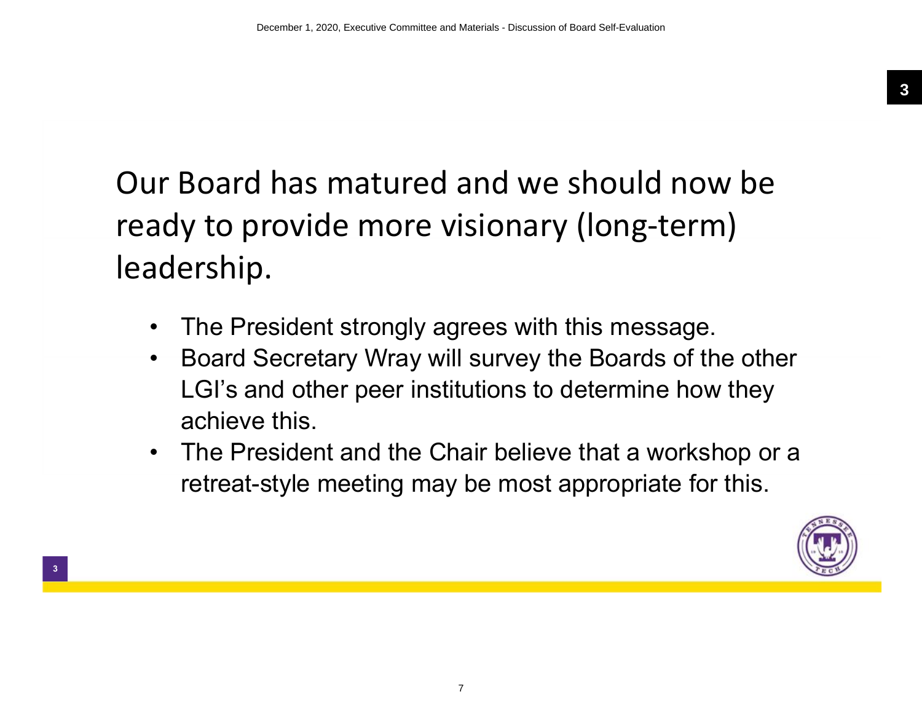Our Board has matured and we should now be ready to provide more visionary (long-term) leadership. van Board has matured and we should now be<br>Ady to provide more visionary (long-term)<br>Adership.<br>• The President strongly agrees with this message.<br>• Board Secretary Wray will survey the Boards of the other<br>LGI's and other p • Board has matured and we should now be<br>ady to provide more visionary (long-term)<br>adership.<br>• The President strongly agrees with this message.<br>• Board Secretary Wray will survey the Boards of the other<br>LGI's and other pee Friedright and we should now be<br>ady to provide more visionary (long-term)<br>adership.<br>• The President strongly agrees with this message.<br>• Board Secretary Wray will survey the Boards of the other<br>LGI's and other peer institu

 $3<sup>th</sup>$  and  $3<sup>th</sup>$  and  $3<sup>th</sup>$  and  $3<sup>th</sup>$  and  $3<sup>th</sup>$ 

- LGI's and other peer institutions to determine how they achieve this.
- retreat-style meeting may be most appropriate for this.

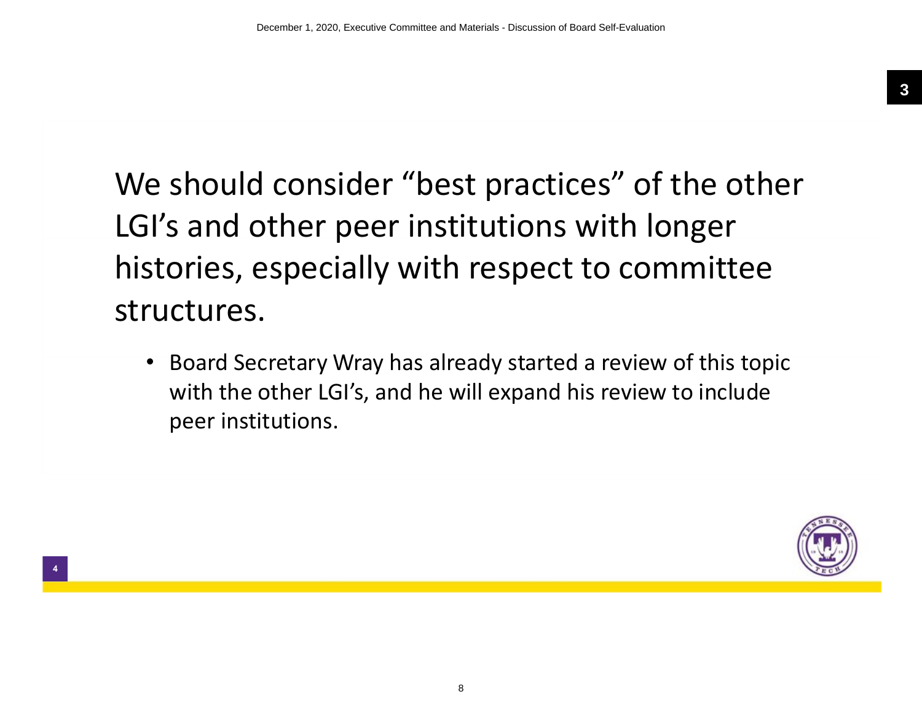We should consider "best practices" of the other LGI's and other peer institutions with longer histories, especially with respect to committee structures.

• Board Secretary Wray has already started a review of this topic with the other LGI's, and he will expand his review to include peer institutions.



 $4 \pm 4$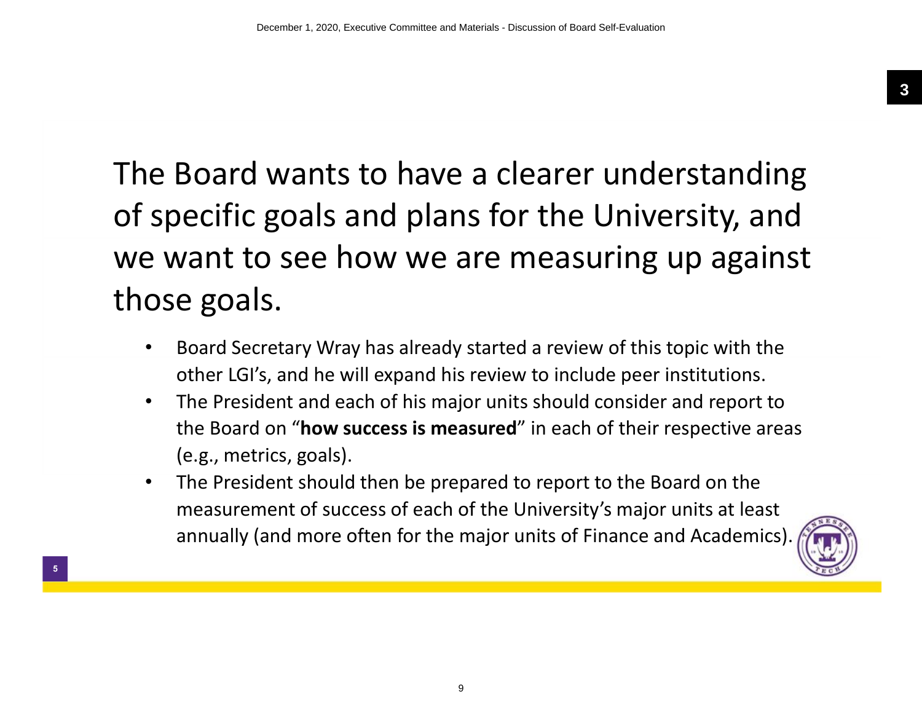The Board wants to have a clearer understanding of specific goals and plans for the University, and we want to see how we are measuring up against those goals.

- Board Secretary Wray has already started a review of this topic with the other LGI's, and he will expand his review to include peer institutions.
- The President and each of his major units should consider and report to the Board on "how success is measured" in each of their respective areas (e.g., metrics, goals).
- The President should then be prepared to report to the Board on the measurement of success of each of the University's major units at least annually (and more often for the major units of Finance and Academics).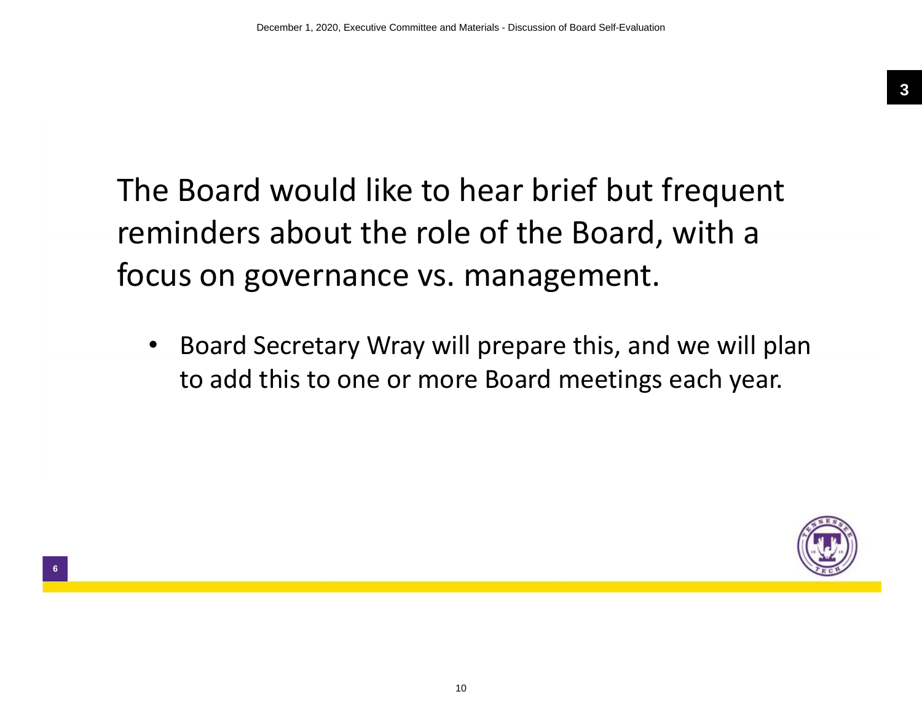The Board would like to hear brief but frequent reminders about the role of the Board, with a focus on governance vs. management.

• Board Secretary Wray will prepare this, and we will plan to add this to one or more Board meetings each year.

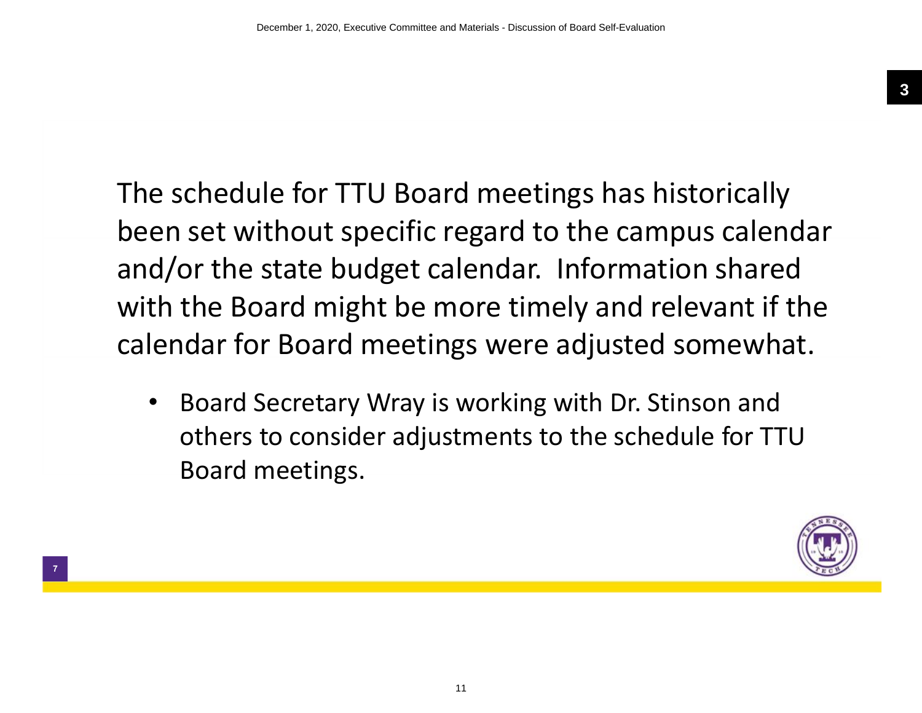The schedule for TTU Board meetings has historically been set without specific regard to the campus calendar and/or the state budget calendar. Information shared with the Board might be more timely and relevant if the calendar for Board meetings were adjusted somewhat.

• Board Secretary Wray is working with Dr. Stinson and others to consider adjustments to the schedule for TTU Board meetings.



**3**

 $7$  and  $7$  and  $7$  and  $7$  and  $7$  and  $7$  and  $7$  and  $7$  and  $7$  and  $7$  and  $7$  and  $7$  and  $7$  and  $7$  and  $7$  and  $7$  and  $7$  and  $7$  and  $7$  and  $7$  and  $7$  and  $7$  and  $7$  and  $7$  and  $7$  and  $7$  and  $7$  and  $7$  a